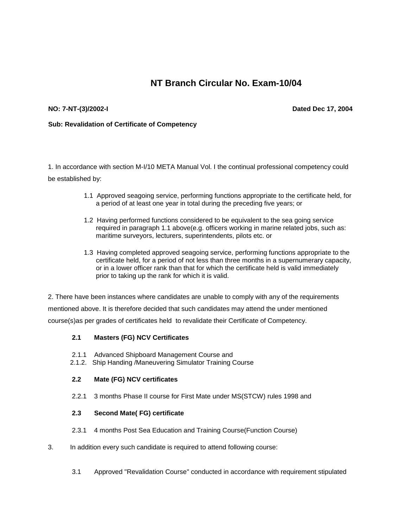# **NT Branch Circular No. Exam-10/04**

### **NO: 7-NT-(3)/2002-I**

**Dated Dec 17, 2004**

#### **Sub: Revalidation of Certificate of Competency**

1. In accordance with section M-I/10 META Manual Vol. I the continual professional competency could be established by:

- 1.1 Approved seagoing service, performing functions appropriate to the certificate held, for a period of at least one year in total during the preceding five years; or
- 1.2 Having performed functions considered to be equivalent to the sea going service required in paragraph 1.1 above(e.g. officers working in marine related jobs, such as: maritime surveyors, lecturers, superintendents, pilots etc. or
- 1.3 Having completed approved seagoing service, performing functions appropriate to the certificate held, for a period of not less than three months in a supernumerary capacity, or in a lower officer rank than that for which the certificate held is valid immediately prior to taking up the rank for which it is valid.

2. There have been instances where candidates are unable to comply with any of the requirements mentioned above. It is therefore decided that such candidates may attend the under mentioned course(s)as per grades of certificates held to revalidate their Certificate of Competency.

## **2.1 Masters (FG) NCV Certificates**

- 2.1.1 Advanced Shipboard Management Course and
- 2.1.2. Ship Handing /Maneuvering Simulator Training Course

## **2.2 Mate (FG) NCV certificates**

2.2.1 3 months Phase II course for First Mate under MS(STCW) rules 1998 and

### **2.3 Second Mate( FG) certificate**

- 2.3.1 4 months Post Sea Education and Training Course(Function Course)
- 3. In addition every such candidate is required to attend following course:
	- 3.1 Approved "Revalidation Course" conducted in accordance with requirement stipulated